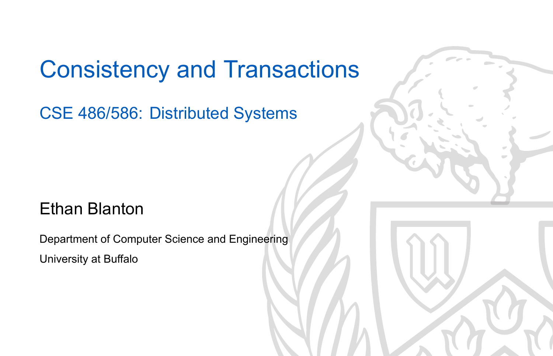### Consistency and Transactions

CSE 486/586: Distributed Systems

#### Ethan Blanton

Department of Computer Science and Engineering University at Buffalo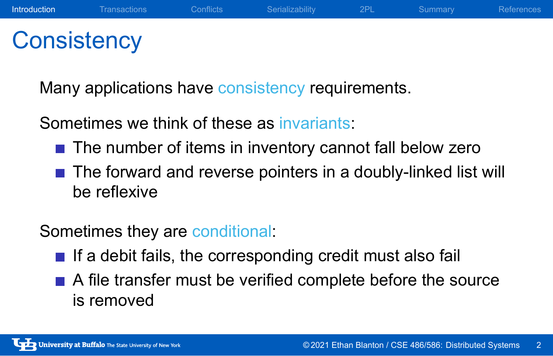#### **Consistency**

Many applications have consistency requirements.

Sometimes we think of these as invariants:

 $\blacksquare$  The number of items in inventory cannot fall below zero

**Introduction** Transactions Conflicts Serializability 2PL Summary References

■ The forward and reverse pointers in a doubly-linked list will be reflexive

Sometimes they are conditional:

- $\blacksquare$  If a debit fails, the corresponding credit must also fail
- A file transfer must be verified complete before the source is removed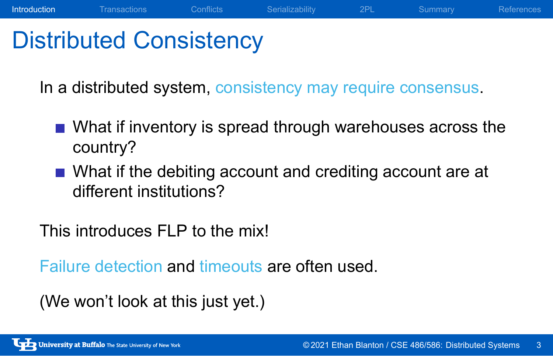## Distributed Consistency

In a distributed system, consistency may require consensus.

What if inventory is spread through warehouses across the country?

**Introduction** Transactions Conflicts Serializability 2PL Summary References

What if the debiting account and crediting account are at different institutions?

This introduces FLP to the mix!

Failure detection and timeouts are often used.

(We won't look at this just yet.)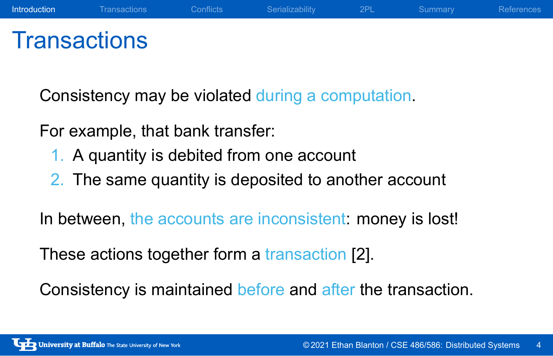#### **Transactions**

Consistency may be violated during a computation.

For example, that bank transfer:

- 1. A quantity is debited from one account
- 2. The same quantity is deposited to another account

**Introduction** Transactions Conflicts Serializability 2PL Summary References

In between, the accounts are inconsistent: money is lost!

These actions together form a transaction [2].

Consistency is maintained before and after the transaction.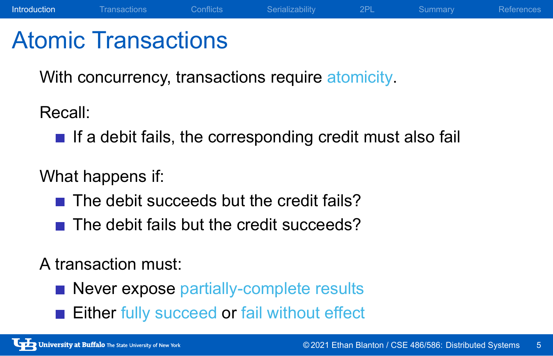#### Atomic Transactions

With concurrency, transactions require atomicity.

Recall:

 $\blacksquare$  If a debit fails, the corresponding credit must also fail

**Introduction** Transactions Conflicts Serializability 2PL Summary References

What happens if:

- $\blacksquare$  The debit succeeds but the credit fails?
- $\blacksquare$  The debit fails but the credit succeeds?

A transaction must:

- Never expose partially-complete results
- Either fully succeed or fail without effect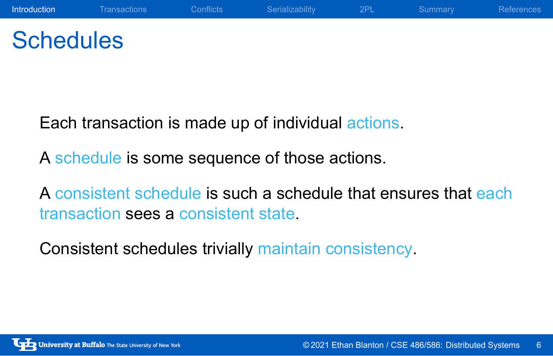## **Schedules**

Each transaction is made up of individual actions.

A schedule is some sequence of those actions.

A consistent schedule is such a schedule that ensures that each transaction sees a consistent state.

Consistent schedules trivially maintain consistency.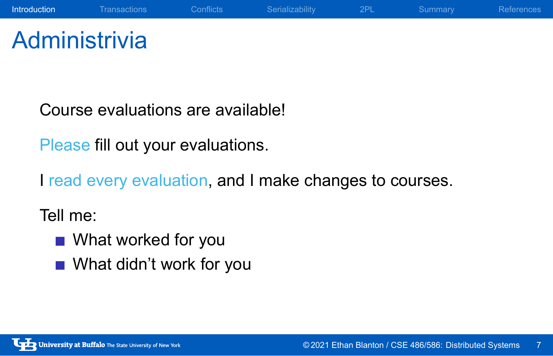#### **Administrivia**

Course evaluations are available!

Please fill out your evaluations.

I read every evaluation, and I make changes to courses.

**Introduction** Transactions Conflicts Serializability 2PL Summary References

Tell me:

- **No. 20 What worked for you**
- What didn't work for you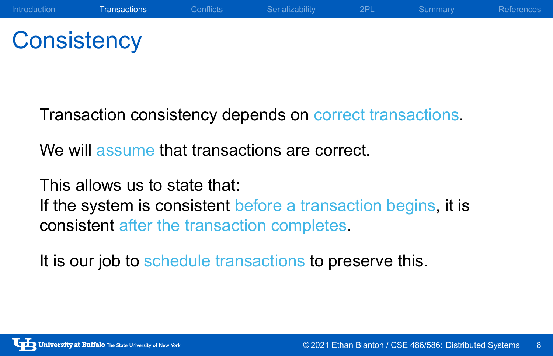### **Consistency**

Transaction consistency depends on correct transactions.

We will assume that transactions are correct.

This allows us to state that:

If the system is consistent before a transaction begins, it is consistent after the transaction completes.

It is our job to schedule transactions to preserve this.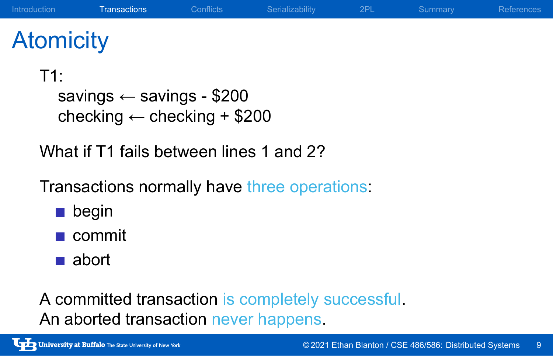## **Atomicity**

T1:

savings ← savings - \$200 checking ← checking + \$200

What if T1 fails between lines 1 and 2?

Transactions normally have three operations:

- **Degin**
- commit
- abort

A committed transaction is completely successful. An aborted transaction never happens.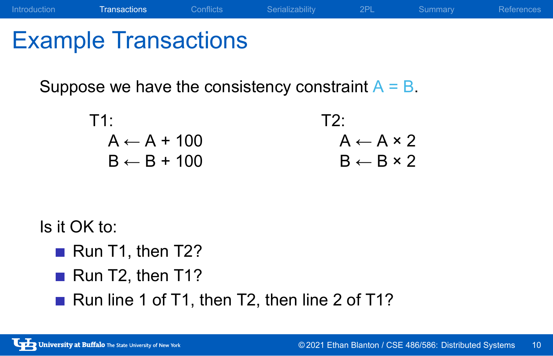## Example Transactions

Suppose we have the consistency constraint  $A = B$ .

| T2.                       |
|---------------------------|
| $A \leftarrow A \times 2$ |
| $B \leftarrow B \times 2$ |
|                           |

Introduction Transactions Conflicts Serializability 2PL Summary References

Is it OK to:

- Run T1, then T2?
- Run T2, then T1?
- Run line 1 of T1, then T2, then line 2 of T1?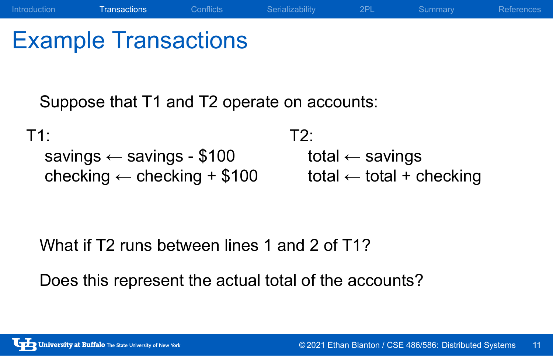## Example Transactions

Suppose that T1 and T2 operate on accounts:

T1: savings ← savings - \$100 checking ← checking + \$100 T2: total ← savings total  $\leftarrow$  total + checking

Introduction Transactions Conflicts Serializability 2PL Summary References

What if T2 runs between lines 1 and 2 of T1?

Does this represent the actual total of the accounts?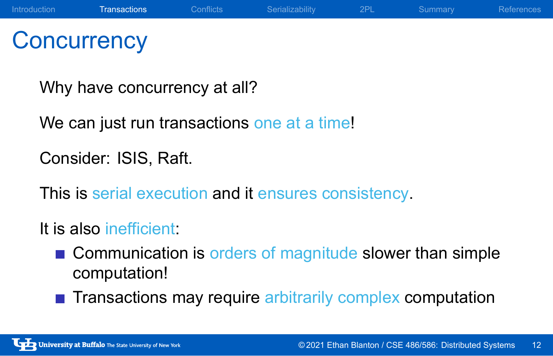#### **Concurrency**

Why have concurrency at all?

We can just run transactions one at a time!

Consider: ISIS, Raft.

This is serial execution and it ensures consistency.

It is also inefficient:

- Communication is orders of magnitude slower than simple computation!
- **Transactions may require arbitrarily complex computation**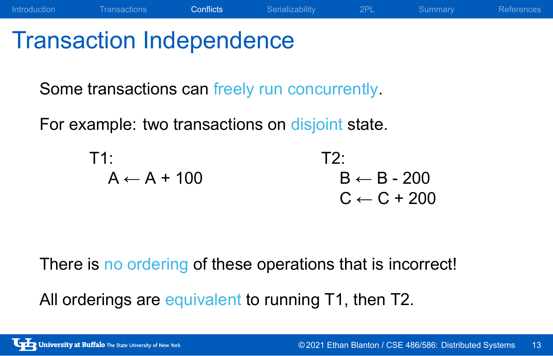## Transaction Independence

Some transactions can freely run concurrently.

For example: two transactions on disjoint state.

T1:

\n
$$
A \leftarrow A + 100
$$
\n
$$
B \leftarrow B - 200
$$
\n
$$
C \leftarrow C + 200
$$

Introduction Transactions Conflicts Serializability 2PL Summary References

There is no ordering of these operations that is incorrect!

All orderings are equivalent to running T1, then T2.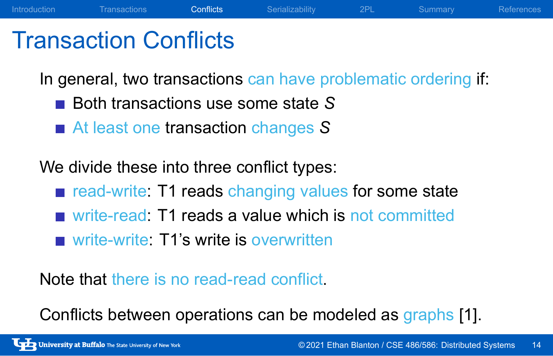#### Transaction Conflicts

In general, two transactions can have problematic ordering if:

Introduction Transactions Conflicts Serializability 2PL Summary References

- Both transactions use some state S
- At least one transaction changes S

We divide these into three conflict types:

- read-write: T1 reads changing values for some state
- write-read: T1 reads a value which is not committed
- write-write: T1's write is overwritten

Note that there is no read-read conflict.

Conflicts between operations can be modeled as graphs [1].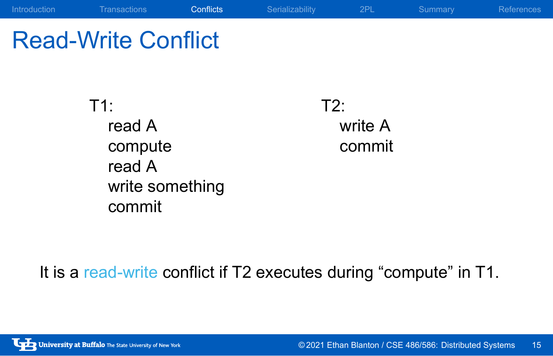## Read-Write Conflict

T1: read A compute read A write something commit

T2: write A commit

It is a read-write conflict if T2 executes during "compute" in T1.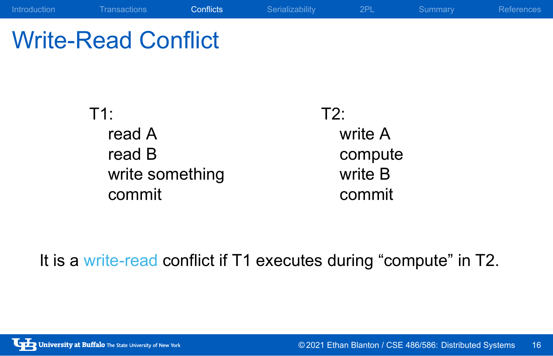## Write-Read Conflict

T1: read A read B write something commit

T2: write A compute write B commit

It is a write-read conflict if T1 executes during "compute" in T2.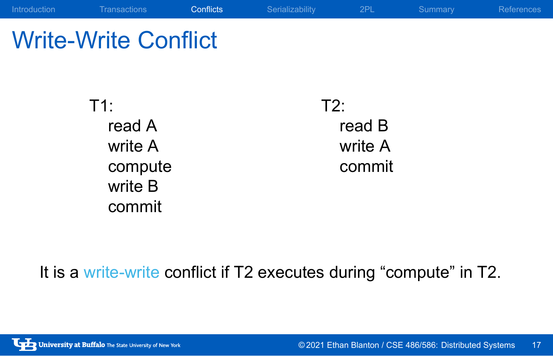### Write-Write Conflict

T1: read A write A compute write B commit

T2: read B write A commit

It is a write-write conflict if T2 executes during "compute" in T2.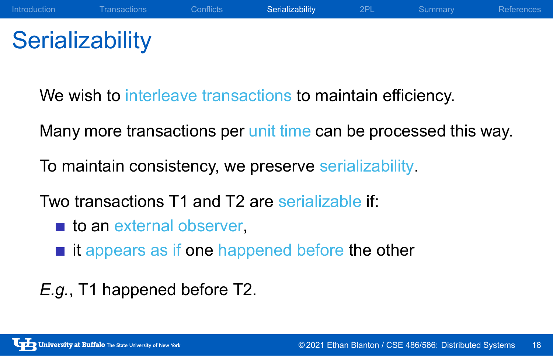## **Serializability**

We wish to interleave transactions to maintain efficiency.

Many more transactions per unit time can be processed this way.

To maintain consistency, we preserve serializability.

Two transactions T1 and T2 are serializable if:

- **to an external observer,**
- $\blacksquare$  it appears as if one happened before the other
- *E.g.*, T1 happened before T2.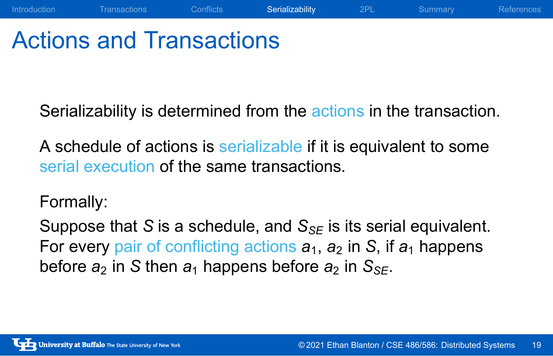### Actions and Transactions

Serializability is determined from the actions in the transaction.

Introduction Transactions Conflicts Serializability 2PL Summary References

A schedule of actions is serializable if it is equivalent to some serial execution of the same transactions.

Formally:

Suppose that *S* is a schedule, and *S<sub>SE</sub>* is its serial equivalent. For every pair of conflicting actions  $a_1$ ,  $a_2$  in *S*, if  $a_1$  happens before  $a_2$  in *S* then  $a_1$  happens before  $a_2$  in  $S_{SE}$ .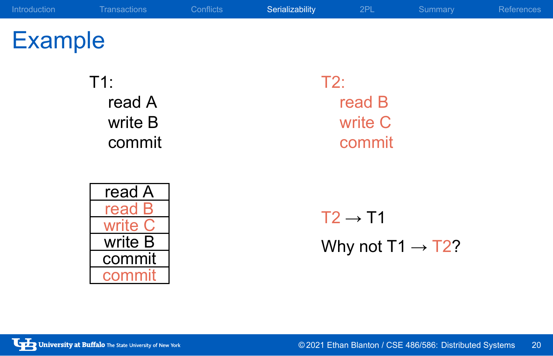# Example

T1: read A write B commit

| read A  |
|---------|
| ₩       |
|         |
| write B |
| commit  |
|         |

T2: read B write C commit

 $T2 \rightarrow T1$ Why not T1  $\rightarrow$  T2?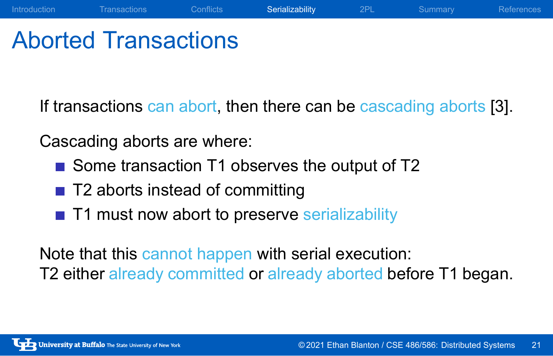## Aborted Transactions

If transactions can abort, then there can be cascading aborts [3].

Introduction Transactions Conflicts Serializability 2PL Summary References

Cascading aborts are where:

- Some transaction T1 observes the output of T2
- T2 aborts instead of committing
- T1 must now abort to preserve serializability

Note that this cannot happen with serial execution: T2 either already committed or already aborted before T1 began.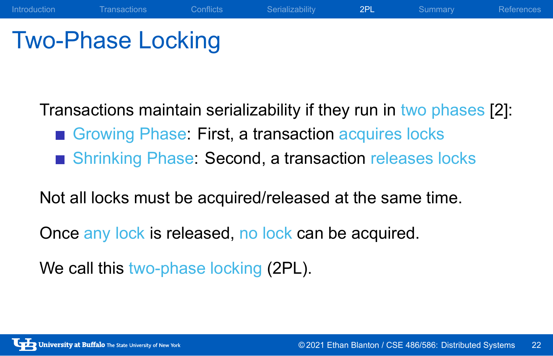## Two-Phase Locking

Transactions maintain serializability if they run in two phases [2]:

Introduction Transactions Conflicts Serializability 2PL Summary References

- Growing Phase: First, a transaction acquires locks
- Shrinking Phase: Second, a transaction releases locks

Not all locks must be acquired/released at the same time.

Once any lock is released, no lock can be acquired.

We call this two-phase locking (2PL).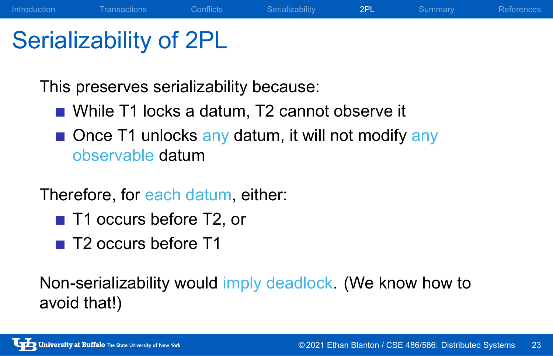### Serializability of 2PL

This preserves serializability because:

- While T1 locks a datum, T2 cannot observe it
- Once T1 unlocks any datum, it will not modify any observable datum

Introduction Transactions Conflicts Serializability 2PL Summary References

Therefore, for each datum, either:

- T1 occurs before T2, or
- T2 occurs before T1

Non-serializability would imply deadlock. (We know how to avoid that!)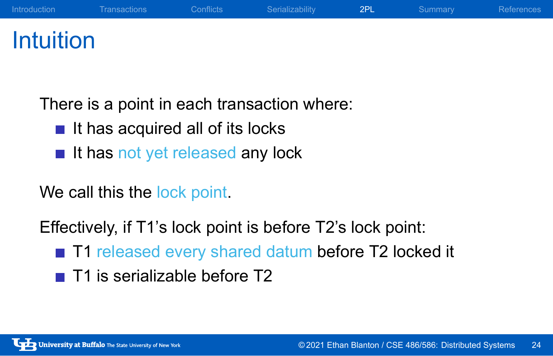### Intuition

There is a point in each transaction where:

- $\blacksquare$  It has acquired all of its locks
- It has not yet released any lock

We call this the lock point.

Effectively, if T1's lock point is before T2's lock point:

■ T1 released every shared datum before T2 locked it

Introduction Transactions Conflicts Serializability 2PL Summary References

■ T1 is serializable before T2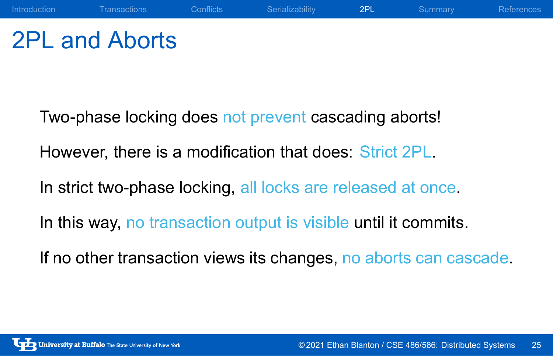## 2PL and Aborts

Two-phase locking does not prevent cascading aborts!

However, there is a modification that does: Strict 2PL.

In strict two-phase locking, all locks are released at once.

In this way, no transaction output is visible until it commits.

If no other transaction views its changes, no aborts can cascade.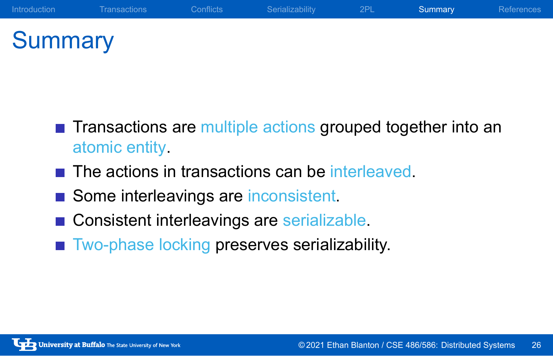# **Summary**

**Transactions are multiple actions grouped together into an** atomic entity.

- The actions in transactions can be interleaved.
- Some interleavings are inconsistent.
- Consistent interleavings are serializable.
- Two-phase locking preserves serializability.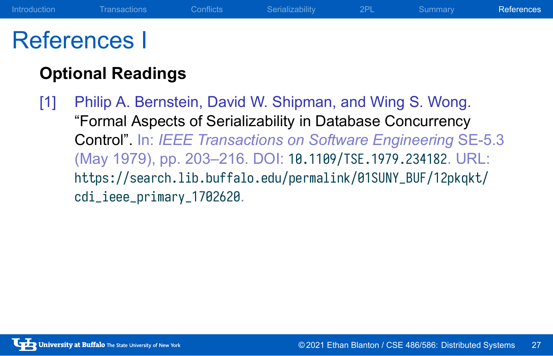#### References I

#### **Optional Readings**

[1] Philip A. Bernstein, David W. Shipman, and Wing S. Wong. "Formal Aspects of Serializability in Database Concurrency Control". In: *IEEE Transactions on Software Engineering* SE-5.3 (May 1979), pp. 203–216. DOI: 10.1109/TSE.1979.234182. URL: https://search.lib.buffalo.edu/permalink/01SUNY\_BUF/12pkqkt/ cdi\_ieee\_primary\_1702620.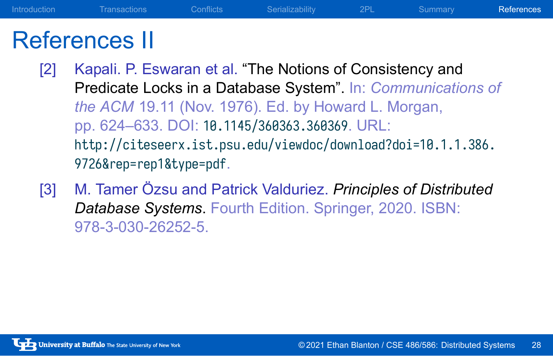#### References II

[2] Kapali. P. Eswaran et al. "The Notions of Consistency and Predicate Locks in a Database System". In: *Communications of the ACM* 19.11 (Nov. 1976). Ed. by Howard L. Morgan, pp. 624–633. DOI: 10.1145/360363.360369. URL: http://citeseerx.ist.psu.edu/viewdoc/download?doi=10.1.1.386. 9726&rep=rep1&type=pdf.

Introduction Transactions Conflicts Serializability 2PL Summary References

[3] M. Tamer Özsu and Patrick Valduriez. *Principles of Distributed Database Systems*. Fourth Edition. Springer, 2020. ISBN: 978-3-030-26252-5.